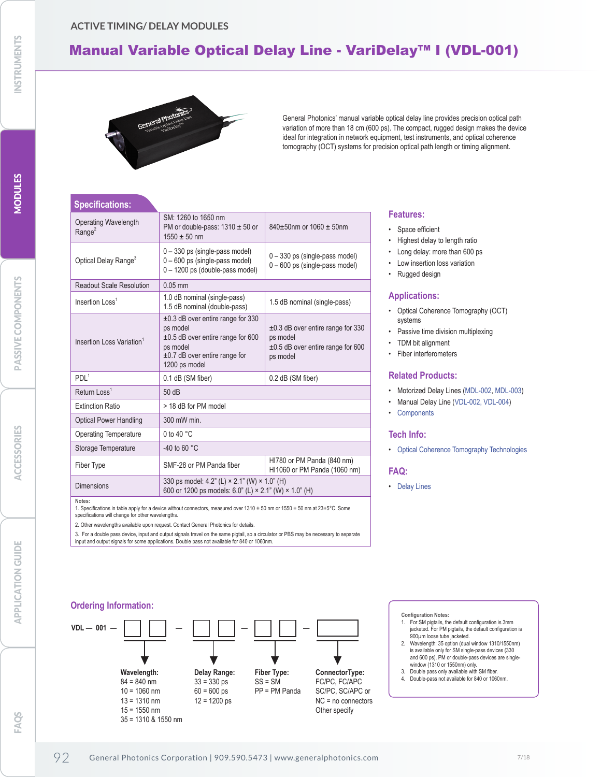## **ACTIVE TIMING/ DELAY MODULES**

# Manual Variable Optical Delay Line - VariDelay™ I (VDL-001)



General Photonics' manual variable optical delay line provides precision optical path variation of more than 18 cm (600 ps). The compact, rugged design makes the device ideal for integration in network equipment, test instruments, and optical coherence tomography (OCT) systems for precision optical path length or timing alignment.

# **Specifications:**

| Operating Wavelength<br>Range <sup>2</sup> | SM: 1260 to 1650 nm<br>PM or double-pass: $1310 \pm 50$ or<br>$1550 \pm 50$ nm                                                                             | 840±50nm or 1060 ± 50nm                                                                                  |
|--------------------------------------------|------------------------------------------------------------------------------------------------------------------------------------------------------------|----------------------------------------------------------------------------------------------------------|
| Optical Delay Range <sup>3</sup>           | $0 - 330$ ps (single-pass model)<br>$0 - 600$ ps (single-pass model)<br>0 - 1200 ps (double-pass model)                                                    | $0 - 330$ ps (single-pass model)<br>$0 - 600$ ps (single-pass model)                                     |
| <b>Readout Scale Resolution</b>            | $0.05$ mm                                                                                                                                                  |                                                                                                          |
| Insertion Loss <sup>1</sup>                | 1.0 dB nominal (single-pass)<br>1.5 dB nominal (double-pass)                                                                                               | 1.5 dB nominal (single-pass)                                                                             |
| Insertion Loss Variation <sup>1</sup>      | $\pm 0.3$ dB over entire range for 330<br>ps model<br>$\pm 0.5$ dB over entire range for 600<br>ps model<br>±0.7 dB over entire range for<br>1200 ps model | $\pm 0.3$ dB over entire range for 330<br>ps model<br>$\pm 0.5$ dB over entire range for 600<br>ps model |
| PDI $1$                                    | 0.1 dB (SM fiber)                                                                                                                                          | 0.2 dB (SM fiber)                                                                                        |
| Return Loss <sup>1</sup>                   | 50dB                                                                                                                                                       |                                                                                                          |
| <b>Extinction Ratio</b>                    | > 18 dB for PM model                                                                                                                                       |                                                                                                          |
| <b>Optical Power Handling</b>              | 300 mW min.                                                                                                                                                |                                                                                                          |
| <b>Operating Temperature</b>               | 0 to 40 $^{\circ}$ C                                                                                                                                       |                                                                                                          |
| Storage Temperature                        | -40 to 60 $\degree$ C                                                                                                                                      |                                                                                                          |
| Fiber Type                                 | SMF-28 or PM Panda fiber                                                                                                                                   | HI780 or PM Panda (840 nm)<br>HI1060 or PM Panda (1060 nm)                                               |
| <b>Dimensions</b>                          | 330 ps model: 4.2" (L) × 2.1" (W) × 1.0" (H)<br>600 or 1200 ps models: 6.0" (L) × 2.1" (W) × 1.0" (H)                                                      |                                                                                                          |

**Notes:** 

1. Specifications in table apply for a device without connectors, measured over  $1310 \pm 50$  nm or  $1550 \pm 50$  nm at  $23 \pm 5^{\circ}$ C. Some specifications will change for other wavelengths.

2. Other wavelengths available upon request. Contact General Photonics for details.

3. For a double pass device, input and output signals travel on the same pigtail, so a circulator or PBS may be necessary to separate input and output signals for some applications. Double pass not available for 840 or 1060nm.

## **Ordering Information:**



## **Features:**

- Space efficient
- Highest delay to length ratio
- Long delay: more than 600 ps
- Low insertion loss variation
- Rugged design

## **Applications:**

- Optical Coherence Tomography (OCT) systems
- Passive time division multiplexing
- TDM bit alignment
- Fiber interferometers

#### **Related Products:**

- Motorized Delay Lines (MDL-002, MDL-003)
- Manual Delay Line (VDL-002, VDL-004)
- Components

### **Tech Info:**

• Optical Coherence Tomography Technologies

### **FAQ:**

• Delay Lines

- **Configuration Notes:**  1. For SM pigtails, the default configuration is 3mm jacketed. For PM pigtails, the default configuration is
- 900µm loose tube jacketed. 2. Wavelength: 35 option (dual window 1310/1550nm) is available only for SM single-pass devices (330 and 600 ps). PM or double-pass devices are singlewindow (1310 or 1550nm) only.
- 3. Double pass only available with SM fiber. 4. Double-pass not available for 840 or 1060nm.

MODULES

**NODULES** 

FAOS